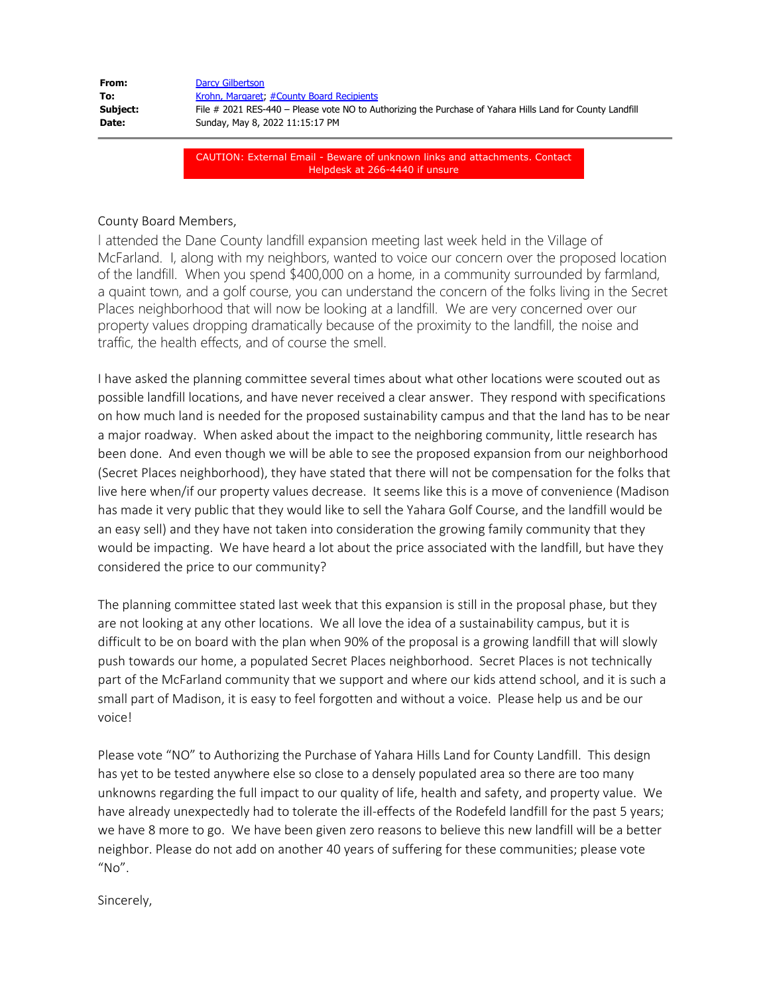| From:    | Darcy Gilbertson                                                                                          |
|----------|-----------------------------------------------------------------------------------------------------------|
| To:      | Krohn, Margaret, #County Board Recipients                                                                 |
| Subject: | File # 2021 RES-440 – Please vote NO to Authorizing the Purchase of Yahara Hills Land for County Landfill |
| Date:    | Sunday, May 8, 2022 11:15:17 PM                                                                           |

CAUTION: External Email - Beware of unknown links and attachments. Contact Helpdesk at 266-4440 if unsure

County Board Members,

I attended the Dane County landfill expansion meeting last week held in the Village of McFarland. I, along with my neighbors, wanted to voice our concern over the proposed location of the landfill. When you spend \$400,000 on a home, in a community surrounded by farmland, a quaint town, and a golf course, you can understand the concern of the folks living in the Secret Places neighborhood that will now be looking at a landfill. We are very concerned over our property values dropping dramatically because of the proximity to the landfill, the noise and traffic, the health effects, and of course the smell.

I have asked the planning committee several times about what other locations were scouted out as possible landfill locations, and have never received a clear answer. They respond with specifications on how much land is needed for the proposed sustainability campus and that the land has to be near a major roadway. When asked about the impact to the neighboring community, little research has been done. And even though we will be able to see the proposed expansion from our neighborhood (Secret Places neighborhood), they have stated that there will not be compensation for the folks that live here when/if our property values decrease. It seems like this is a move of convenience (Madison has made it very public that they would like to sell the Yahara Golf Course, and the landfill would be an easy sell) and they have not taken into consideration the growing family community that they would be impacting. We have heard a lot about the price associated with the landfill, but have they considered the price to our community?

The planning committee stated last week that this expansion is still in the proposal phase, but they are not looking at any other locations. We all love the idea of a sustainability campus, but it is difficult to be on board with the plan when 90% of the proposal is a growing landfill that will slowly push towards our home, a populated Secret Places neighborhood. Secret Places is not technically part of the McFarland community that we support and where our kids attend school, and it is such a small part of Madison, it is easy to feel forgotten and without a voice. Please help us and be our voice!

Please vote "NO" to Authorizing the Purchase of Yahara Hills Land for County Landfill. This design has yet to be tested anywhere else so close to a densely populated area so there are too many unknowns regarding the full impact to our quality of life, health and safety, and property value. We have already unexpectedly had to tolerate the ill-effects of the Rodefeld landfill for the past 5 years; we have 8 more to go. We have been given zero reasons to believe this new landfill will be a better neighbor. Please do not add on another 40 years of suffering for these communities; please vote  $^{\prime\prime}$ No $^{\prime\prime}$ .

Sincerely,